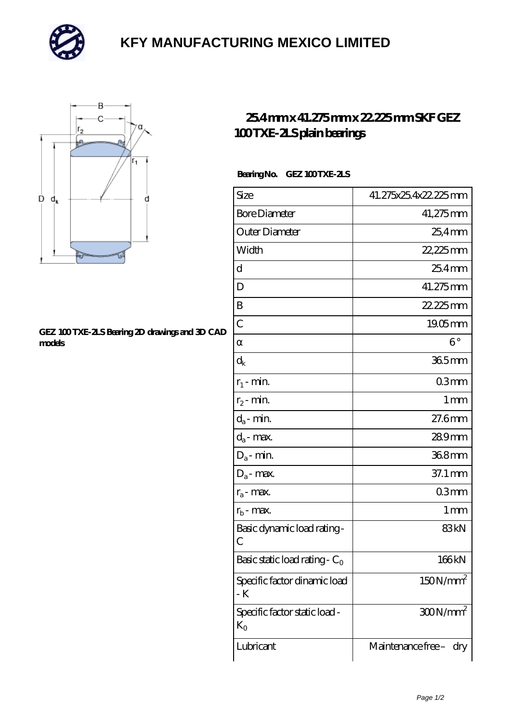

# **[KFY MANUFACTURING MEXICO LIMITED](https://mailemotion.tv)**



#### **[GEZ 100 TXE-2LS Bearing 2D drawings and 3D CAD](https://mailemotion.tv/pic-415102.html) [models](https://mailemotion.tv/pic-415102.html)**

## **[25.4 mm x 41.275 mm x 22.225 mm SKF GEZ](https://mailemotion.tv/bs-415102-skf-gez-100-txe-2ls-plain-bearings.html) [100 TXE-2LS plain bearings](https://mailemotion.tv/bs-415102-skf-gez-100-txe-2ls-plain-bearings.html)**

### Bearing No. GEZ 100 TXE-2LS

| Size                                          | 41.275x25.4x22.225mm   |
|-----------------------------------------------|------------------------|
| <b>Bore Diameter</b>                          | 41,275mm               |
| Outer Diameter                                | $25.4$ mm              |
| Width                                         | 22,225mm               |
| d                                             | 25.4mm                 |
| D                                             | 41.275mm               |
| B                                             | 22.225mm               |
| $\overline{C}$                                | $19.05$ mm             |
|                                               | $6^{\circ}$            |
| $\mathrm{d}_{\mathbf{k}}$                     | $365$ mm               |
| $r_1$ - min.                                  | 03mm                   |
| $r_2$ - min.                                  | $1 \,\mathrm{mm}$      |
| $d_a$ - min.                                  | $27.6$ mm              |
| $d_a$ - max.                                  | 289mm                  |
| $D_a$ - min.                                  | 368mm                  |
| $D_a$ - max.                                  | 37.1 mm                |
| $r_a$ - max.                                  | 03mm                   |
| $r_{b}$ - max.                                | 1 <sub>mm</sub>        |
| Basic dynamic load rating-<br>С               | 83kN                   |
| Basic static load rating - $C_0$              | 166kN                  |
| Specific factor dinamic load<br>- K           | 150N/mm <sup>2</sup>   |
| Specific factor static load -<br>$K_{\Omega}$ | $300N/mm^2$            |
| Lubricant                                     | Maintenance free - dry |